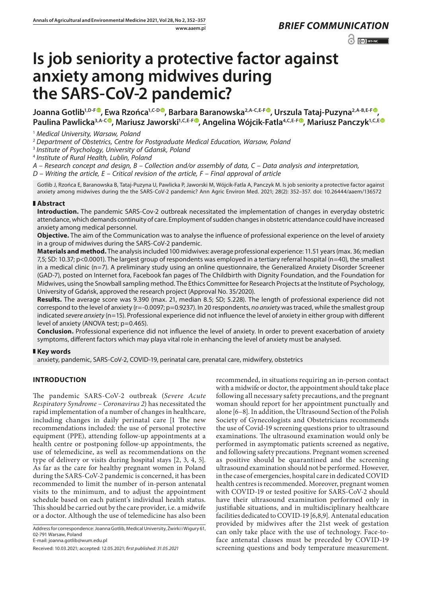# $\odot$   $\odot$  BY-NC

# **Is job seniority a protective factor against anxiety among midwives during the SARS-CoV-2 pandemic?**

**Joanna Gotlib1,D-F [,](https://orcid.org/0000-0002-2717-7741) Ewa Rzońca1,C-[D](https://orcid.org/0000-0002-6534-1100) , Barbara Baranowska2,A-C,E-F [,](https://orcid.org/0000-0003-2723-9604) Urszula Tataj-Puzyna2,A-B,E-[F](https://orcid.org/0000-0001-9800-3434) , Paulina Pawlicka3,A-[C](https://orcid.org/0000-0002-2342-1583) , Mariusz Jaworski1,C,E-F [,](https://orcid.org/0000-0002-5207-8323) Angelina Wójcik-Fatla4,C,E-F [,](https://orcid.org/0000-0001-5260-4867) Mariusz Panczyk1,C,[E](https://orcid.org/0000-0003-1830-2114)**

<sup>1</sup> *Medical University, Warsaw, Poland*

<sup>2</sup> *Department of Obstetrics, Centre for Postgraduate Medical Education, Warsaw, Poland*

<sup>3</sup> *Institute of Psychology, University of Gdansk, Poland*

<sup>4</sup> *Institute of Rural Health, Lublin, Poland*

*A – Research concept and design, B – Collection and/or assembly of data, C – Data analysis and interpretation,* 

*D – Writing the article, E – Critical revision of the article, F – Final approval of article*

Gotlib J, Rzońca E, Baranowska B, Tataj-Puzyna U, Pawlicka P, Jaworski M, Wójcik-Fatla A, Panczyk M. Is job seniority a protective factor against anxiety among midwives during the the SARS-CoV-2 pandemic? Ann Agric Environ Med. 2021; 28(2): 352–357. doi: 10.26444/aaem/136572

# **Abstract**

**Introduction.** The pandemic SARS-Cov-2 outbreak necessitated the implementation of changes in everyday obstetric attendance, which demands continuity of care. Employment of sudden changes in obstetric attendance could have increased anxiety among medical personnel.

**Objective.** The aim of the Communication was to analyse the influence of professional experience on the level of anxiety in a group of midwives during the SARS-CoV-2 pandemic.

**Materials and method.** The analysis included 100 midwives: average professional experience: 11.51 years (max. 36; median 7,5; SD: 10.37; p<0.0001). The largest group of respondents was employed in a tertiary referral hospital (n=40), the smallest in a medical clinic (n=7). A preliminary study using an online questionnaire, the Generalized Anxiety Disorder Screener (GAD-7), posted on Internet fora, Facebook fan pages of The Childbirth with Dignity Foundation, and the Foundation for Midwives, using the Snowball sampling method. The Ethics Committee for Research Projects at the Institute of Psychology, University of Gdańsk, approved the research project (Approval No. 35/2020).

**Results.** The average score was 9.390 (max. 21, median 8.5; SD; 5.228). The length of professional experience did not correspond to the level of anxiety (r=-0.0097; p=0.9237). In 20 respondents, *no anxiety* was traced, while the smallest group indicated *severe anxiety* (n=15). Professional experience did not influence the level of anxiety in either group with different level of anxiety (ANOVA test; p=0.465).

**Conclusion.** Professional experience did not influence the level of anxiety. In order to prevent exacerbation of anxiety symptoms, different factors which may playa vital role in enhancing the level of anxiety must be analysed.

# **Key words**

anxiety, pandemic, SARS-CoV-2, COVID-19, perinatal care, prenatal care, midwifery, obstetrics

# **INTRODUCTION**

The pandemic SARS-CoV-2 outbreak (*Severe Acute Respiratory Syndrome – Coronavirus 2*) has necessitated the rapid implementation of a number of changes in healthcare, including changes in daily perinatal care [1 The new recommendations included: the use of personal protective equipment (PPE), attending follow-up appointments at a health centre or postponing follow-up appointments, the use of telemedicine, as well as recommendations on the type of delivery or visits during hospital stays [2, 3, 4, 5]. As far as the care for healthy pregnant women in Poland during the SARS-CoV-2 pandemic is concerned, it has been recommended to limit the number of in-person antenatal visits to the minimum, and to adjust the appointment schedule based on each patient's individual health status. This should be carried out by the care provider, i.e. a midwife or a doctor. Although the use of telemedicine has also been

Address for correspondence: Joanna Gotlib, Medical University, Żwirki i Wigury 61, 02-791 Warsaw, Poland

recommended, in situations requiring an in-person contact with a midwife or doctor, the appointment should take place following all necessary safety precautions, and the pregnant woman should report for her appointment punctually and alone [6–8]. In addition, the Ultrasound Section of the Polish Society of Gynecologists and Obstetricians recommends the use of Covid-19 screening questions prior to ultrasound examinations. The ultrasound examination would only be performed in asymptomatic patients screened as negative, and following safety precautions. Pregnant women screened as positive should be quarantined and the screening ultrasound examination should not be performed. However, in the case of emergencies, hospital care in dedicated COVID health centres is recommended. Moreover, pregnant women with COVID-19 or tested positive for SARS-CoV-2 should have their ultrasound examination performed only in justifiable situations, and in multidisciplinary healthcare facilities dedicated to COVID-19 [6,8,9]. Antenatal education provided by midwives after the 21st week of gestation can only take place with the use of technology. Face-toface antenatal classes must be preceded by COVID-19 screening questions and body temperature measurement.

E-mail: joanna.gotlib@wum.edu.pl

Received: 10.03.2021; accepted: 12.05.2021; *first published: 31.05.2021*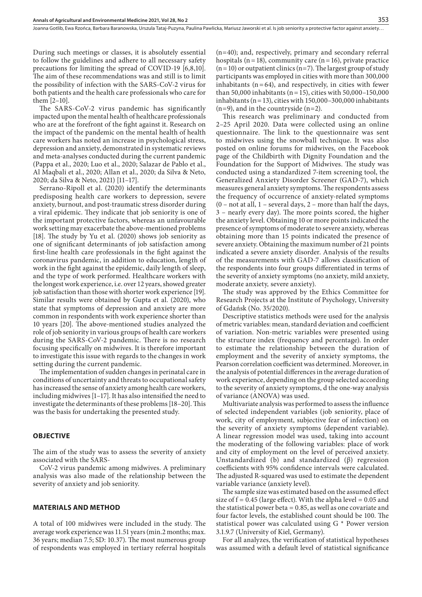During such meetings or classes, it is absolutely essential to follow the guidelines and adhere to all necessary safety precautions for limiting the spread of COVID-19 [6,8,10]. The aim of these recommendations was and still is to limit the possibility of infection with the SARS-CoV-2 virus for both patients and the health care professionals who care for them [2–10].

The SARS-CoV-2 virus pandemic has significantly impacted upon the mental health of healthcare professionals who are at the forefront of the fight against it. Research on the impact of the pandemic on the mental health of health care workers has noted an increase in psychological stress, depression and anxiety, demonstrated in systematic reviews and meta-analyses conducted during the current pandemic (Pappa et al., 2020; Luo et al., 2020; Salazar de Pablo et al., Al Maqbali et al., 2020; Allan et al., 2020; da Silva & Neto, 2020; da Silva & Neto, 2021) [11–17].

Serrano-Ripoll et al. (2020) identify the determinants predisposing health care workers to depression, severe anxiety, burnout, and post-traumatic stress disorder during a viral epidemic. They indicate that job seniority is one of the important protective factors, whereas an unfavourable work setting may exacerbate the above-mentioned problems [18]. The study by Yu et al. (2020) shows job seniority as one of significant determinants of job satisfaction among first-line health care professionals in the fight against the coronavirus pandemic, in addition to education, length of work in the fight against the epidemic, daily length of sleep, and the type of work performed. Healthcare workers with the longest work experience, i.e. over 12 years, showed greater job satisfaction than those with shorter work experience [19]. Similar results were obtained by Gupta et al. (2020), who state that symptoms of depression and anxiety are more common in respondents with work experience shorter than 10 years [20]. The above-mentioned studies analyzed the role of job seniority in various groups of health care workers during the SARS-CoV-2 pandemic. There is no research focusing specifically on midwives. It is therefore important to investigate this issue with regards to the changes in work setting during the current pandemic.

The implementation of sudden changes in perinatal care in conditions of uncertainty and threats to occupational safety has increased the sense of anxiety among health care workers, including midwives [1–17]. It has also intensified the need to investigate the determinants of these problems [18–20]. This was the basis for undertaking the presented study.

#### **OBJECTIVE**

The aim of the study was to assess the severity of anxiety associated with the SARS-

CoV-2 virus pandemic among midwives. A preliminary analysis was also made of the relationship between the severity of anxiety and job seniority.

#### **MATERIALS AND METHOD**

A total of 100 midwives were included in the study. The average work experience was 11.51 years (min.2 months; max. 36 years; median 7.5; SD: 10.37). The most numerous group of respondents was employed in tertiary referral hospitals

(n=40); and, respectively, primary and secondary referral hospitals ( $n=18$ ), community care ( $n=16$ ), private practice  $(n=10)$  or outpatient clinics  $(n=7)$ . The largest group of study participants was employed in cities with more than 300,000 inhabitants  $(n=64)$ , and respectively, in cities with fewer than 50,000 inhabitants ( $n=15$ ), cities with 50,000–150,000 inhabitants ( $n=13$ ), cities with 150,000–300,000 inhabitants  $(n=9)$ , and in the countryside  $(n=2)$ .

This research was preliminary and conducted from 2–25 April 2020. Data were collected using an online questionnaire. The link to the questionnaire was sent to midwives using the snowball technique. It was also posted on online forums for midwives, on the Facebook page of the Childbirth with Dignity Foundation and the Foundation for the Support of Midwives. The study was conducted using a standardized 7-item screening tool, the Generalized Anxiety Disorder Screener (GAD-7), which measures general anxiety symptoms. The respondents assess the frequency of occurrence of anxiety-related symptoms  $(0 - not at all, 1 - several days, 2 - more than half the days,$ 3 – nearly every day). The more points scored, the higher the anxiety level. Obtaining 10 or more points indicated the presence of symptoms of moderate to severe anxiety, whereas obtaining more than 15 points indicated the presence of severe anxiety. Obtaining the maximum number of 21 points indicated a severe anxiety disorder. Analysis of the results of the measurements with GAD-7 allows classification of the respondents into four groups differentiated in terms of the severity of anxiety symptoms (no anxiety, mild anxiety, moderate anxiety*,* severe anxiety).

The study was approved by the Ethics Committee for Research Projects at the Institute of Psychology, University of Gdańsk (No. 35/2020).

Descriptive statistics methods were used for the analysis of metric variables: mean, standard deviation and coefficient of variation. Non-metric variables were presented using the structure index (frequency and percentage). In order to estimate the relationship between the duration of employment and the severity of anxiety symptoms, the Pearson correlation coefficient was determined. Moreover, in the analysis of potential differences in the average duration of work experience, depending on the group selected according to the severity of anxiety symptoms, d the one-way analysis of variance (ANOVA) was used.

Multivariate analysis was performed to assess the influence of selected independent variables (job seniority, place of work, city of employment, subjective fear of infection) on the severity of anxiety symptoms (dependent variable). A linear regression model was used, taking into account the moderating of the following variables: place of work and city of employment on the level of perceived anxiety. Unstandardized (b) and standardized (β) regression coefficients with 95% confidence intervals were calculated. The adjusted R-squared was used to estimate the dependent variable variance (anxiety level).

The sample size was estimated based on the assumed effect size of  $f = 0.45$  (large effect). With the alpha level = 0.05 and the statistical power beta = 0.85, as well as one covariate and four factor levels, the established count should be 100. The statistical power was calculated using G \* Power version 3.1.9.7 (University of Kiel, Germany).

For all analyzes, the verification of statistical hypotheses was assumed with a default level of statistical significance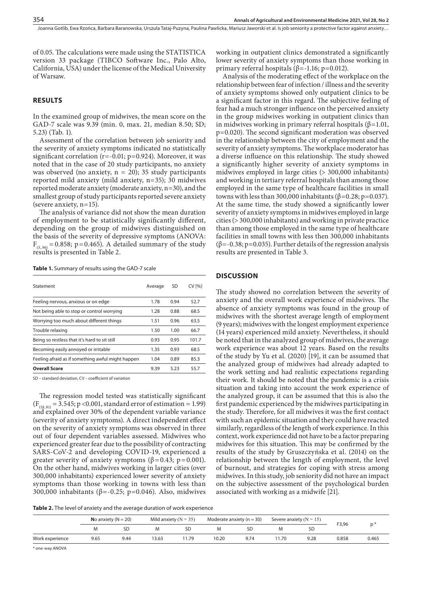Joanna Gotlib, Ewa Rzońca, Barbara Baranowska, Urszula Tataj-Puzyna, Paulina Pawlicka, Mariusz Jaworski et al. Is job seniority a protective factor against anxiety…

of 0.05. The calculations were made using the STATISTICA version 33 package (TIBCO Software Inc., Palo Alto, California, USA) under the license of the Medical University of Warsaw.

#### **RESULTS**

In the examined group of midwives, the mean score on the GAD-7 scale was 9.39 (min. 0, max. 21, median 8.50; SD; 5.23) (Tab. 1).

Assessment of the correlation between job seniority and the severity of anxiety symptoms indicated no statistically significant correlation  $(r=-0.01; p=0.924)$ . Moreover, it was noted that in the case of 20 study participants, no anxiety was observed (no anxiety,  $n = 20$ ); 35 study participants reported mild anxiety (mild anxiety, n=35); 30 midwives reported moderate anxiety (moderate anxiety, n=30), and the smallest group of study participants reported severe anxiety (severe anxiety, n=15).

The analysis of variance did not show the mean duration of employment to be statistically significantly different, depending on the group of midwives distinguished on the basis of the severity of depressive symptoms (ANOVA:  $F_{(3.96)} = 0.858$ ; p=0.465). A detailed summary of the study results is presented in Table 2.

**Table 1.** Summary of results using the GAD-7 scale

| Statement                                         | Average | SD   | <b>CV [%]</b> |
|---------------------------------------------------|---------|------|---------------|
| Feeling nervous, anxious or on edge               | 1.78    | 0.94 | 52.7          |
| Not being able to stop or control worrying        | 1.28    | 0.88 | 68.5          |
| Worrying too much about different things          | 1.51    | 0.96 | 63.5          |
| Trouble relaxing                                  | 1.50    | 1.00 | 66.7          |
| Being so restless that it's hard to sit still     | 0.93    | 0.95 | 101.7         |
| Becoming easily annoyed or irritable              | 1.35    | 0.93 | 68.5          |
| Feeling afraid as if something awful might happen | 1.04    | 0.89 | 85.3          |
| <b>Overall Score</b>                              | 9.39    | 5.23 | 55.7          |

SD – standard deviation, CV – coefficient of variation

The regression model tested was statistically significant  $(F_{(18, 81)} = 3.545; p < 0.001$ , standard error of estimation = 1.99) and explained over 30% of the dependent variable variance (severity of anxiety symptoms). A direct independent effect on the severity of anxiety symptoms was observed in three out of four dependent variables assessed. Midwives who experienced greater fear due to the possibility of contracting SARS-CoV-2 and developing COVID-19, experienced a greater severity of anxiety symptoms ( $\beta$ =0.43; p=0.001). On the other hand, midwives working in larger cities (over 300,000 inhabitants) experienced lower severity of anxiety symptoms than those working in towns with less than 300,000 inhabitants ( $β = -0.25$ ; p=0.046). Also, midwives

working in outpatient clinics demonstrated a significantly lower severity of anxiety symptoms than those working in primary referral hospitals ( $β = -1.16$ ; p=0.012).

Analysis of the moderating effect of the workplace on the relationship between fear of infection / illness and the severity of anxiety symptoms showed only outpatient clinics to be a significant factor in this regard. The subjective feeling of fear had a much stronger influence on the perceived anxiety in the group midwives working in outpatient clinics than in midwives working in primary referral hospitals ( $\beta$ =1.01, p=0.020). The second significant moderation was observed in the relationship between the city of employment and the severity of anxiety symptoms. The workplace moderator has a diverse influence on this relationship. The study showed a significantly higher severity of anxiety symptoms in midwives employed in large cities (> 300,000 inhabitants) and working in tertiary referral hospitals than among those employed in the same type of healthcare facilities in small towns with less than 300,000 inhabitants ( $β=0.28$ ;  $p=0.037$ ). At the same time, the study showed a significantly lower severity of anxiety symptoms in midwives employed in large cities (> 300,000 inhabitants) and working in private practice than among those employed in the same type of healthcare facilities in small towns with less then 300,000 inhabitants (β=-0.38; p=0.035). Further details of the regression analysis results are presented in Table 3.

#### **DISCUSSION**

The study showed no correlation between the severity of anxiety and the overall work experience of midwives. The absence of anxiety symptoms was found in the group of midwives with the shortest average length of employment (9 years); midwives with the longest employment experience (14 years) experienced mild anxiety. Nevertheless, it should be noted that in the analyzed group of midwives, the average work experience was about 12 years. Based on the results of the study by Yu et al. (2020) [19], it can be assumed that the analyzed group of midwives had already adapted to the work setting and had realistic expectations regarding their work. It should be noted that the pandemic is a crisis situation and taking into account the work experience of the analyzed group, it can be assumed that this is also the first pandemic experienced by the midwives participating in the study. Therefore, for all midwives it was the first contact with such an epidemic situation and they could have reacted similarly, regardless of the length of work experience. In this context, work experience did not have to be a factor preparing midwives for this situation. This may be confirmed by the results of the study by Gruszczyńska et al. (2014) on the relationship between the length of employment, the level of burnout, and strategies for coping with stress among midwives. In this study, job seniority did not have an impact on the subjective assessment of the psychological burden associated with working as a midwife [21].

**Table 2.** The level of anxiety and the average duration of work experience

|                 | No anxiety ( $N = 20$ ) |      | Mild anxiety ( $N = 35$ ) |      | Moderate anxiety ( $n = 30$ ) |      | Severe anxiety ( $N = 15$ ) |      |       |       |
|-----------------|-------------------------|------|---------------------------|------|-------------------------------|------|-----------------------------|------|-------|-------|
|                 |                         |      | M                         |      |                               | SD   |                             | SC   | F3,96 |       |
| Work experience | 9.65                    | 9.44 | 13.63                     | 1.79 | 10.20                         | 9.74 | 1.70                        | 9.28 | 0.858 | 0.465 |

\* one-way ANOVA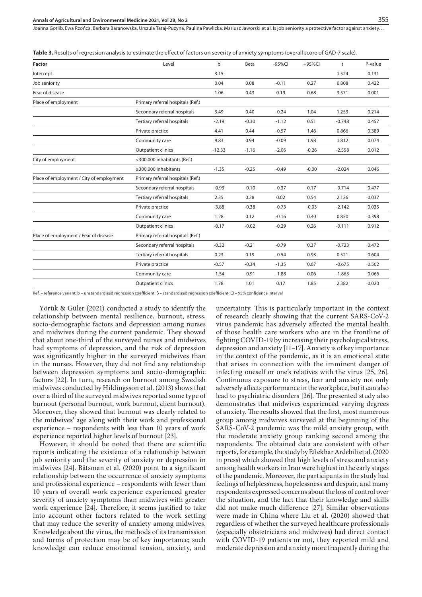Joanna Gotlib, Ewa Rzońca, Barbara Baranowska, Urszula Tataj-Puzyna, Paulina Pawlicka, Mariusz Jaworski et al. Is job seniority a protective factor against anxiety…

**Table 3.** Results of regression analysis to estimate the effect of factors on severity of anxiety symptoms (overall score of GAD-7 scale).

| Factor                                   | Level                             | b        | Beta    | $-95%CI$ | +95%Cl  | t        | P-value |
|------------------------------------------|-----------------------------------|----------|---------|----------|---------|----------|---------|
| Intercept                                |                                   | 3.15     |         |          |         | 1.524    | 0.131   |
| Job seniority                            |                                   | 0.04     | 0.08    | $-0.11$  | 0.27    | 0.808    | 0.422   |
| Fear of disease                          |                                   | 1.06     | 0.43    | 0.19     | 0.68    | 3.571    | 0.001   |
| Place of employment                      | Primary referral hospitals (Ref.) |          |         |          |         |          |         |
|                                          | Secondary referral hospitals      | 3.49     | 0.40    | $-0.24$  | 1.04    | 1.253    | 0.214   |
|                                          | Tertiary referral hospitals       | $-2.19$  | $-0.30$ | $-1.12$  | 0.51    | $-0.748$ | 0.457   |
|                                          | Private practice                  | 4.41     | 0.44    | $-0.57$  | 1.46    | 0.866    | 0.389   |
|                                          | Community care                    | 9.83     | 0.94    | $-0.09$  | 1.98    | 1.812    | 0.074   |
|                                          | <b>Outpatient clinics</b>         | $-12.33$ | $-1.16$ | $-2.06$  | $-0.26$ | $-2.558$ | 0.012   |
| City of employment                       | <300,000 inhabitants (Ref.)       |          |         |          |         |          |         |
|                                          | ≥300,000 inhabitants              | $-1.35$  | $-0.25$ | $-0.49$  | $-0.00$ | $-2.024$ | 0.046   |
| Place of employment / City of employment | Primary referral hospitals (Ref.) |          |         |          |         |          |         |
|                                          | Secondary referral hospitals      | $-0.93$  | $-0.10$ | $-0.37$  | 0.17    | $-0.714$ | 0.477   |
|                                          | Tertiary referral hospitals       | 2.35     | 0.28    | 0.02     | 0.54    | 2.126    | 0.037   |
|                                          | Private practice                  | $-3.88$  | $-0.38$ | $-0.73$  | $-0.03$ | $-2.142$ | 0.035   |
|                                          | Community care                    | 1.28     | 0.12    | $-0.16$  | 0.40    | 0.850    | 0.398   |
|                                          | Outpatient clinics                | $-0.17$  | $-0.02$ | $-0.29$  | 0.26    | $-0.111$ | 0.912   |
| Place of employment / Fear of disease    | Primary referral hospitals (Ref.) |          |         |          |         |          |         |
|                                          | Secondary referral hospitals      | $-0.32$  | $-0.21$ | $-0.79$  | 0.37    | $-0.723$ | 0.472   |
|                                          | Tertiary referral hospitals       | 0.23     | 0.19    | $-0.54$  | 0.93    | 0.521    | 0.604   |
|                                          | Private practice                  | $-0.57$  | $-0.34$ | $-1.35$  | 0.67    | $-0.675$ | 0.502   |
|                                          | Community care                    | $-1.54$  | $-0.91$ | $-1.88$  | 0.06    | $-1.863$ | 0.066   |
|                                          | <b>Outpatient clinics</b>         | 1.78     | 1.01    | 0.17     | 1.85    | 2.382    | 0.020   |
|                                          |                                   |          |         |          |         |          |         |

Ref. – reference variant; b – unstandardized regression coefficient; β – standardized regression coefficient; CI – 95% confidence interval

Yörük & Güler (2021) conducted a study to identify the relationship between mental resilience, burnout, stress, socio-demographic factors and depression among nurses and midwives during the current pandemic. They showed that about one-third of the surveyed nurses and midwives had symptoms of depression, and the risk of depression was significantly higher in the surveyed midwives than in the nurses. However, they did not find any relationship between depression symptoms and socio-demographic factors [22]. In turn, research on burnout among Swedish midwives conducted by Hildingsson et al. (2013) shows that over a third of the surveyed midwives reported some type of burnout (personal burnout, work burnout, client burnout). Moreover, they showed that burnout was clearly related to the midwives' age along with their work and professional experience – respondents with less than 10 years of work experience reported higher levels of burnout [23].

However, it should be noted that there are scientific reports indicating the existence of a relationship between job seniority and the severity of anxiety or depression in midwives [24]. Båtsman et al. (2020) point to a significant relationship between the occurrence of anxiety symptoms and professional experience – respondents with fewer than 10 years of overall work experience experienced greater severity of anxiety symptoms than midwives with greater work experience [24]. Therefore, it seems justified to take into account other factors related to the work setting that may reduce the severity of anxiety among midwives. Knowledge about the virus, the methods of its transmission and forms of protection may be of key importance; such knowledge can reduce emotional tension, anxiety, and uncertainty. This is particularly important in the context of research clearly showing that the current SARS-CoV-2 virus pandemic has adversely affected the mental health of those health care workers who are in the frontline of fighting COVID-19 by increasing their psychological stress, depression and anxiety [11–17]. Anxiety is of key importance in the context of the pandemic, as it is an emotional state that arises in connection with the imminent danger of infecting oneself or one's relatives with the virus [25, 26]. Continuous exposure to stress, fear and anxiety not only adversely affects performance in the workplace, but it can also lead to psychiatric disorders [26]. The presented study also demonstrates that midwives experienced varying degrees of anxiety. The results showed that the first, most numerous group among midwives surveyed at the beginning of the SARS-CoV-2 pandemic was the mild anxiety group, with the moderate anxiety group ranking second among the respondents. The obtained data are consistent with other reports, for example, the study by Eftekhar Ardebili et al. (2020 in press) which showed that high levels of stress and anxiety among health workers in Iran were highest in the early stages of the pandemic. Moreover, the participants in the study had feelings of helplessness, hopelessness and despair, and many respondents expressed concerns about the loss of control over the situation, and the fact that their knowledge and skills did not make much difference [27]. Similar observations were made in China where Liu et al. (2020) showed that regardless of whether the surveyed healthcare professionals (especially obstetricians and midwives) had direct contact with COVID-19 patients or not, they reported mild and moderate depression and anxiety more frequently during the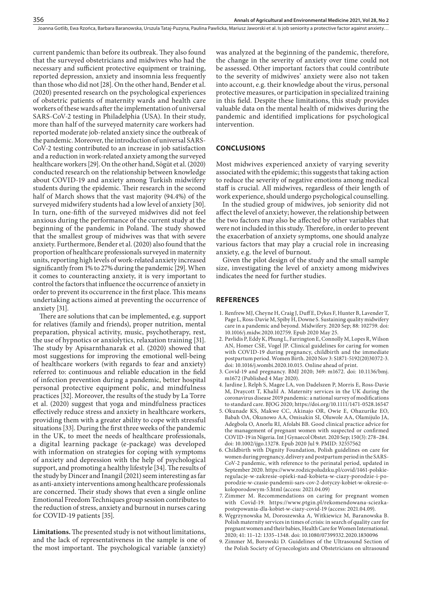current pandemic than before its outbreak. They also found that the surveyed obstetricians and midwives who had the necessary and sufficient protective equipment or training, reported depression, anxiety and insomnia less frequently than those who did not [28]. On the other hand, Bender et al. (2020) presented research on the psychological experiences of obstetric patients of maternity wards and health care workers of these wards after the implementation of universal SARS-CoV-2 testing in Philadelphia (USA). In their study, more than half of the surveyed maternity care workers had reported moderate job-related anxiety since the outbreak of the pandemic. Moreover, the introduction of universal SARS-CoV-2 testing contributed to an increase in job satisfaction and a reduction in work-related anxiety among the surveyed healthcare workers [29]. On the other hand, Sögüt et al. (2020) conducted research on the relationship between knowledge about COVID-19 and anxiety among Turkish midwifery students during the epidemic. Their research in the second half of March shows that the vast majority (94.4%) of the surveyed midwifery students had a low level of anxiety [30]. In turn, one-fifth of the surveyed midwives did not feel anxious during the performance of the current study at the beginning of the pandemic in Poland. The study showed that the smallest group of midwives was that with severe anxiety. Furthermore, Bender et al. (2020) also found that the proportion of healthcare professionals surveyed in maternity units, reporting high levels of work-related anxiety increased significantly from 1% to 27% during the pandemic [29]. When it comes to counteracting anxiety, it is very important to control the factors that influence the occurrence of anxiety in order to prevent its occurrence in the first place. This means undertaking actions aimed at preventing the occurrence of anxiety [31].

There are solutions that can be implemented, e.g. support for relatives (family and friends), proper nutrition, mental preparation, physical activity, music, psychotherapy, rest, the use of hypnotics or anxiolytics, relaxation training [31]. The study by Apisarnthanarak et al. (2020) showed that most suggestions for improving the emotional well-being of healthcare workers (with regards to fear and anxiety) referred to: continuous and reliable education in the field of infection prevention during a pandemic, better hospital personal protective equipment polic, and mindfulness practices [32]. Moreover, the results of the study by La Torre et al. (2020) suggest that yoga and mindfulness practices effectively reduce stress and anxiety in healthcare workers, providing them with a greater ability to cope with stressful situations [33]. During the first three weeks of the pandemic in the UK, to meet the needs of healthcare professionals, a digital learning package (e-package) was developed with information on strategies for coping with symptoms of anxiety and depression with the help of psychological support, and promoting a healthy lifestyle [34]. The results of the study by Dincer and Inangil (2021) seem interesting as far as anti-anxiety interventions among healthcare professionals are concerned. Their study shows that even a single online Emotional Freedom Techniques group session contributes to the reduction of stress, anxiety and burnout in nurses caring for COVID-19 patients [35].

**Limitations.** The presented study is not without limitations, and the lack of representativeness in the sample is one of the most important. The psychological variable (anxiety)

was analyzed at the beginning of the pandemic, therefore, the change in the severity of anxiety over time could not be assessed. Other important factors that could contribute to the severity of midwives' anxiety were also not taken into account, e.g. their knowledge about the virus, personal protective measures, or participation in specialized training in this field. Despite these limitations, this study provides valuable data on the mental health of midwives during the pandemic and identified implications for psychological intervention.

### **CONCLUSIONS**

Most midwives experienced anxiety of varying severity associated with the epidemic; this suggests that taking action to reduce the severity of negative emotions among medical staff is crucial. All midwives, regardless of their length of work experience, should undergo psychological counselling.

In the studied group of midwives, job seniority did not affect the level of anxiety; however, the relationship between the two factors may also be affected by other variables that were not included in this study. Therefore, in order to prevent the exacerbation of anxiety symptoms, one should analyze various factors that may play a crucial role in increasing anxiety, e.g. the level of burnout.

Given the pilot design of the study and the small sample size, investigating the level of anxiety among midwives indicates the need for further studies.

#### **REFERENCES**

- 1. Renfrew MJ, Cheyne H, Craig J, Duff E, Dykes F, Hunter B, Lavender T, Page L, Ross-Davie M, Spiby H, Downe S. Sustaining quality midwifery care in a pandemic and beyond. Midwifery. 2020 Sep; 88: 102759. doi: 10.1016/j.midw.2020.102759. Epub 2020 May 25.
- 2. Pavlidis P, Eddy K, Phung L, Farrington E, Connolly M, Lopes R, Wilson AN, Homer CSE, Vogel JP. Clinical guidelines for caring for women with COVID-19 during pregnancy, childbirth and the immediate postpartum period. Women Birth. 2020 Nov 3: S1871-5192(20)30372-3. doi: 10.1016/j.wombi.2020.10.015. Online ahead of print.
- 3. Covid-19 and pregnancy. BMJ 2020; 369: m1672. doi: 10.1136/bmj. m1672 (Published 4 May 2020).
- 4. Jardine J, Relph S, Magee LA, von Dadelszen P, Morris E, Ross-Davie M, Draycott T, Khalil A. Maternity services in the UK during the coronavirus disease 2019 pandemic: a national survey of modifications to standard care. BJOG 2020; https://doi.org/10.1111/1471-0528.16547
- 5. Okunade KS, Makwe CC, Akinajo OR, Owie E, Ohazurike EO, Babah OA, Okunowo AA, Omisakin SI, Oluwole AA, Olamijulo JA, Adegbola O, Anorlu RI, Afolabi BB. Good clinical practice advice for the management of pregnant women with suspected or confirmed COVID-19 in Nigeria. Int J Gynaecol Obstet. 2020 Sep; 150(3): 278–284. doi: 10.1002/ijgo.13278. Epub 2020 Jul 9. PMID: 32557562
- 6. Childbirth with Dignity Foundation, Polish guidelines on care for women during pregnancy, delivery and postpartum period in the SARS-CoV-2 pandemic, with reference to the perinatal period, updated in September 2020. https://www.rodzicpoludzku.pl/covid/1461-polskieregulacje-w-zakresie-opieki-nad-kobieta-w-ciazy-porodzie-i-poporodzie-w-czasie-pandemii-sars-cov-2-dotyczy-kobiet-w-okresie-okoloporodowym-5.html (access: 2021.04.09)
- 7. Zimmer M. Recommendations on caring for pregnant women with Covid-19. https://www.ptgin.pl/rekomendowana-sciezkapostepowania-dla-kobiet-w-ciazy-covid-19 (access: 2021.04.09).
- 8. Węgrzynowska M, Doroszewska A, Witkiewicz M, Baranowska B. Polish maternity services in times of crisis: in search of quality care for pregnant women and their babies, Health Care for Women International. 2020; 41: 11–12: 1335–1348. doi: 10.1080/07399332.2020.1830096
- 9. Zimmer M, Borowski D. Guidelines of the Ultrasound Section of the Polish Society of Gynecologists and Obstetricians on ultrasound